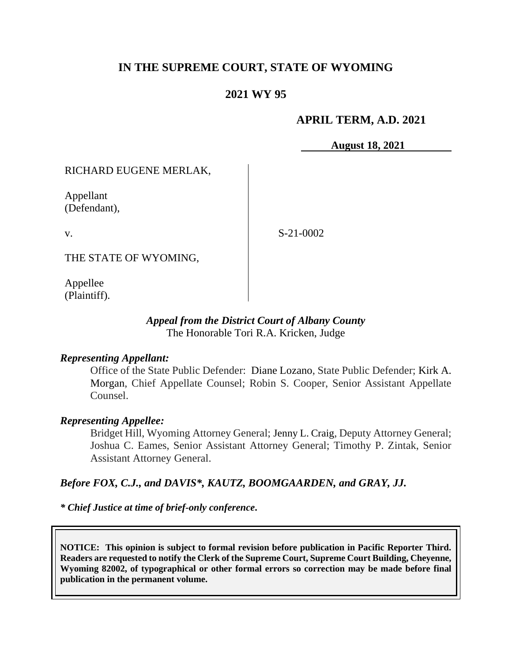# **IN THE SUPREME COURT, STATE OF WYOMING**

## **2021 WY 95**

## **APRIL TERM, A.D. 2021**

**August 18, 2021**

RICHARD EUGENE MERLAK,

Appellant (Defendant),

v.

S-21-0002

THE STATE OF WYOMING,

Appellee (Plaintiff).

## *Appeal from the District Court of Albany County* The Honorable Tori R.A. Kricken, Judge

#### *Representing Appellant:*

Office of the State Public Defender: Diane Lozano, State Public Defender; [Kirk A.](https://1.next.westlaw.com/Link/Document/FullText?findType=h&pubNum=176284&cite=0342481001&originatingDoc=I9a7cf9d0af6911ea9e229b5f182c9c44&refType=RQ&originationContext=document&transitionType=DocumentItem&contextData=(sc.UserEnteredCitation)&analyticGuid=I9a7cf9d0af6911ea9e229b5f182c9c44)  [Morgan,](https://1.next.westlaw.com/Link/Document/FullText?findType=h&pubNum=176284&cite=0342481001&originatingDoc=I9a7cf9d0af6911ea9e229b5f182c9c44&refType=RQ&originationContext=document&transitionType=DocumentItem&contextData=(sc.UserEnteredCitation)&analyticGuid=I9a7cf9d0af6911ea9e229b5f182c9c44) Chief Appellate Counsel; Robin S. Cooper, Senior Assistant Appellate Counsel.

#### *Representing Appellee:*

Bridget Hill, Wyoming Attorney General; Jenny L. Craig, Deputy Attorney General; Joshua C. Eames, Senior Assistant Attorney General; Timothy P. Zintak, Senior Assistant Attorney General.

#### *Before FOX, C.J., and DAVIS\*, KAUTZ, BOOMGAARDEN, and GRAY, JJ.*

*\* Chief Justice at time of brief-only conference***.**

**NOTICE: This opinion is subject to formal revision before publication in Pacific Reporter Third. Readers are requested to notify the Clerk of the Supreme Court, Supreme Court Building, Cheyenne, Wyoming 82002, of typographical or other formal errors so correction may be made before final publication in the permanent volume.**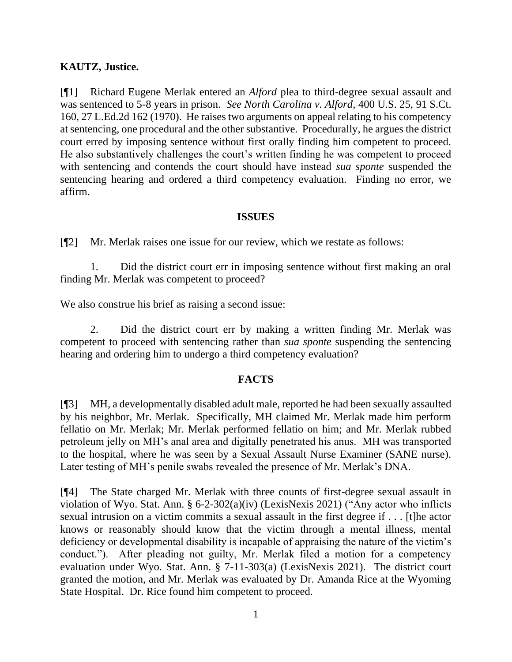## **KAUTZ, Justice.**

[¶1] Richard Eugene Merlak entered an *Alford* plea to third-degree sexual assault and was sentenced to 5-8 years in prison. *See North Carolina v. Alford*, 400 U.S. 25, 91 S.Ct. 160, 27 L.Ed.2d 162 (1970). He raises two arguments on appeal relating to his competency at sentencing, one procedural and the other substantive. Procedurally, he argues the district court erred by imposing sentence without first orally finding him competent to proceed. He also substantively challenges the court's written finding he was competent to proceed with sentencing and contends the court should have instead *sua sponte* suspended the sentencing hearing and ordered a third competency evaluation. Finding no error, we affirm.

#### **ISSUES**

[¶2] Mr. Merlak raises one issue for our review, which we restate as follows:

1. Did the district court err in imposing sentence without first making an oral finding Mr. Merlak was competent to proceed?

We also construe his brief as raising a second issue:

2. Did the district court err by making a written finding Mr. Merlak was competent to proceed with sentencing rather than *sua sponte* suspending the sentencing hearing and ordering him to undergo a third competency evaluation?

#### **FACTS**

[¶3] MH, a developmentally disabled adult male, reported he had been sexually assaulted by his neighbor, Mr. Merlak. Specifically, MH claimed Mr. Merlak made him perform fellatio on Mr. Merlak; Mr. Merlak performed fellatio on him; and Mr. Merlak rubbed petroleum jelly on MH's anal area and digitally penetrated his anus. MH was transported to the hospital, where he was seen by a Sexual Assault Nurse Examiner (SANE nurse). Later testing of MH's penile swabs revealed the presence of Mr. Merlak's DNA.

[¶4] The State charged Mr. Merlak with three counts of first-degree sexual assault in violation of Wyo. Stat. Ann. § 6-2-302(a)(iv) (LexisNexis 2021) ("Any actor who inflicts sexual intrusion on a victim commits a sexual assault in the first degree if . . . [t]he actor knows or reasonably should know that the victim through a mental illness, mental deficiency or developmental disability is incapable of appraising the nature of the victim's conduct."). After pleading not guilty, Mr. Merlak filed a motion for a competency evaluation under Wyo. Stat. Ann. § 7-11-303(a) (LexisNexis 2021). The district court granted the motion, and Mr. Merlak was evaluated by Dr. Amanda Rice at the Wyoming State Hospital. Dr. Rice found him competent to proceed.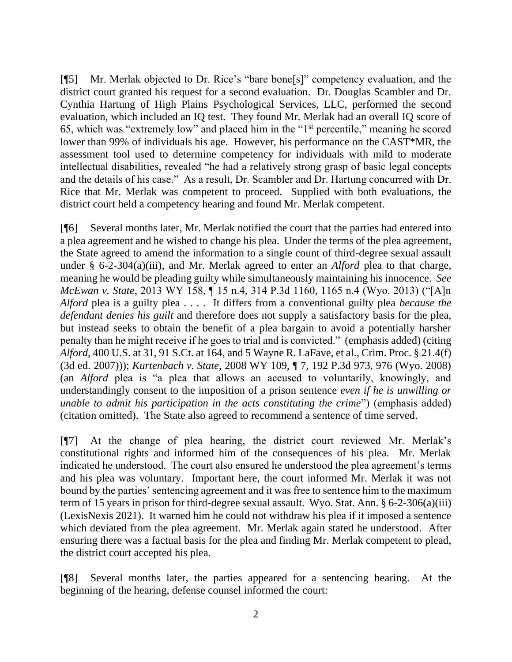[¶5] Mr. Merlak objected to Dr. Rice's "bare bone[s]" competency evaluation, and the district court granted his request for a second evaluation. Dr. Douglas Scambler and Dr. Cynthia Hartung of High Plains Psychological Services, LLC, performed the second evaluation, which included an IQ test. They found Mr. Merlak had an overall IQ score of 65, which was "extremely low" and placed him in the "1st percentile," meaning he scored lower than 99% of individuals his age. However, his performance on the CAST\*MR, the assessment tool used to determine competency for individuals with mild to moderate intellectual disabilities, revealed "he had a relatively strong grasp of basic legal concepts and the details of his case." As a result, Dr. Scambler and Dr. Hartung concurred with Dr. Rice that Mr. Merlak was competent to proceed. Supplied with both evaluations, the district court held a competency hearing and found Mr. Merlak competent.

[¶6] Several months later, Mr. Merlak notified the court that the parties had entered into a plea agreement and he wished to change his plea. Under the terms of the plea agreement, the State agreed to amend the information to a single count of third-degree sexual assault under § 6-2-304(a)(iii), and Mr. Merlak agreed to enter an *Alford* plea to that charge, meaning he would be pleading guilty while simultaneously maintaining his innocence. *See McEwan v. State*, 2013 WY 158, ¶ 15 n.4, 314 P.3d 1160, 1165 n.4 (Wyo. 2013) ("[A]n *Alford* plea is a guilty plea . . . . It differs from a conventional guilty plea *because the defendant denies his guilt* and therefore does not supply a satisfactory basis for the plea, but instead seeks to obtain the benefit of a plea bargain to avoid a potentially harsher penalty than he might receive if he goes to trial and is convicted." (emphasis added) (citing *Alford*, 400 U.S. at 31, 91 S.Ct. at 164, and 5 Wayne R. LaFave, et al., Crim. Proc. § 21.4(f) (3d ed. 2007))); *Kurtenbach v. State*, 2008 WY 109, ¶ 7, 192 P.3d 973, 976 (Wyo. 2008) (an *Alford* plea is "a plea that allows an accused to voluntarily, knowingly, and understandingly consent to the imposition of a prison sentence *even if he is unwilling or unable to admit his participation in the acts constituting the crime*") (emphasis added) (citation omitted). The State also agreed to recommend a sentence of time served.

[¶7] At the change of plea hearing, the district court reviewed Mr. Merlak's constitutional rights and informed him of the consequences of his plea. Mr. Merlak indicated he understood. The court also ensured he understood the plea agreement's terms and his plea was voluntary. Important here, the court informed Mr. Merlak it was not bound by the parties' sentencing agreement and it was free to sentence him to the maximum term of 15 years in prison for third-degree sexual assault. Wyo. Stat. Ann. § 6-2-306(a)(iii) (LexisNexis 2021). It warned him he could not withdraw his plea if it imposed a sentence which deviated from the plea agreement. Mr. Merlak again stated he understood. After ensuring there was a factual basis for the plea and finding Mr. Merlak competent to plead, the district court accepted his plea.

[¶8] Several months later, the parties appeared for a sentencing hearing. At the beginning of the hearing, defense counsel informed the court: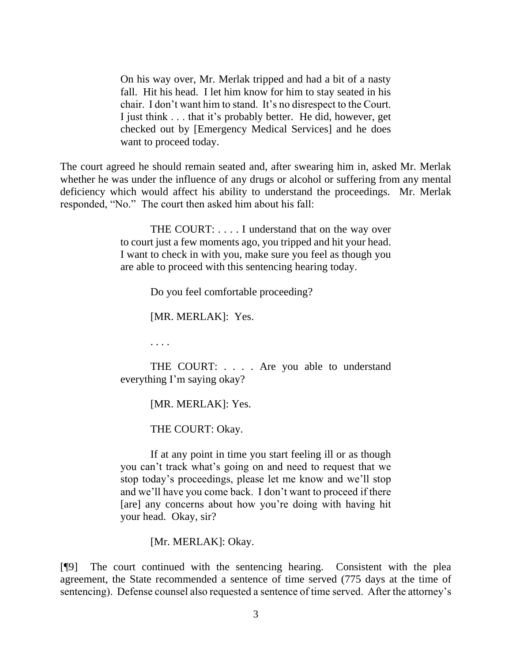On his way over, Mr. Merlak tripped and had a bit of a nasty fall. Hit his head. I let him know for him to stay seated in his chair. I don't want him to stand. It's no disrespect to the Court. I just think . . . that it's probably better. He did, however, get checked out by [Emergency Medical Services] and he does want to proceed today.

The court agreed he should remain seated and, after swearing him in, asked Mr. Merlak whether he was under the influence of any drugs or alcohol or suffering from any mental deficiency which would affect his ability to understand the proceedings. Mr. Merlak responded, "No." The court then asked him about his fall:

> THE COURT: . . . . I understand that on the way over to court just a few moments ago, you tripped and hit your head. I want to check in with you, make sure you feel as though you are able to proceed with this sentencing hearing today.

> > Do you feel comfortable proceeding?

[MR. MERLAK]: Yes.

. . . .

THE COURT: . . . . Are you able to understand everything I'm saying okay?

[MR. MERLAK]: Yes.

THE COURT: Okay.

If at any point in time you start feeling ill or as though you can't track what's going on and need to request that we stop today's proceedings, please let me know and we'll stop and we'll have you come back. I don't want to proceed if there [are] any concerns about how you're doing with having hit your head. Okay, sir?

[Mr. MERLAK]: Okay.

[¶9] The court continued with the sentencing hearing. Consistent with the plea agreement, the State recommended a sentence of time served (775 days at the time of sentencing). Defense counsel also requested a sentence of time served. After the attorney's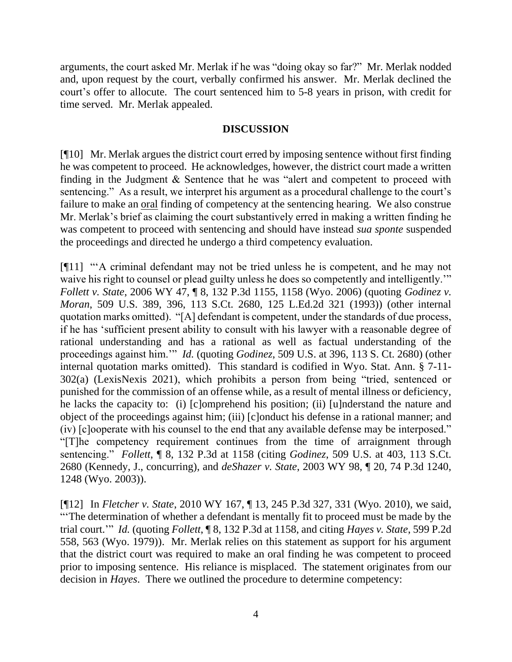arguments, the court asked Mr. Merlak if he was "doing okay so far?" Mr. Merlak nodded and, upon request by the court, verbally confirmed his answer. Mr. Merlak declined the court's offer to allocute. The court sentenced him to 5-8 years in prison, with credit for time served. Mr. Merlak appealed.

## **DISCUSSION**

[¶10] Mr. Merlak argues the district court erred by imposing sentence without first finding he was competent to proceed. He acknowledges, however, the district court made a written finding in the Judgment & Sentence that he was "alert and competent to proceed with sentencing." As a result, we interpret his argument as a procedural challenge to the court's failure to make an oral finding of competency at the sentencing hearing. We also construe Mr. Merlak's brief as claiming the court substantively erred in making a written finding he was competent to proceed with sentencing and should have instead *sua sponte* suspended the proceedings and directed he undergo a third competency evaluation.

[¶11] "'A criminal defendant may not be tried unless he is competent, and he may not waive his right to counsel or plead guilty unless he does so competently and intelligently." *Follett v. State*, 2006 WY 47, ¶ 8, 132 P.3d 1155, 1158 (Wyo. 2006) (quoting *Godinez v. Moran*, 509 U.S. 389, 396, 113 S.Ct. 2680, 125 L.Ed.2d 321 (1993)) (other internal quotation marks omitted). "[A] defendant is competent, under the standards of due process, if he has 'sufficient present ability to consult with his lawyer with a reasonable degree of rational understanding and has a rational as well as factual understanding of the proceedings against him.'" *Id.* (quoting *Godinez*, 509 U.S. at 396, 113 S. Ct. 2680) (other internal quotation marks omitted). This standard is codified in Wyo. Stat. Ann. § 7-11- 302(a) (LexisNexis 2021), which prohibits a person from being "tried, sentenced or punished for the commission of an offense while, as a result of mental illness or deficiency, he lacks the capacity to: (i) [c]omprehend his position; (ii) [u]nderstand the nature and object of the proceedings against him; (iii) [c]onduct his defense in a rational manner; and (iv) [c]ooperate with his counsel to the end that any available defense may be interposed." "[T]he competency requirement continues from the time of arraignment through sentencing." *Follett*, ¶ 8, 132 P.3d at 1158 (citing *Godinez*, 509 U.S. at 403, 113 S.Ct. 2680 (Kennedy, J., concurring), and *deShazer v. State*, 2003 WY 98, ¶ 20, 74 P.3d 1240, 1248 (Wyo. 2003)).

[¶12] In *Fletcher v. State*, 2010 WY 167, ¶ 13, 245 P.3d 327, 331 (Wyo. 2010), we said, "'The determination of whether a defendant is mentally fit to proceed must be made by the trial court.'" *Id.* (quoting *Follett*, ¶ 8, 132 P.3d at 1158, and citing *Hayes v. State*, 599 P.2d 558, 563 (Wyo. 1979)). Mr. Merlak relies on this statement as support for his argument that the district court was required to make an oral finding he was competent to proceed prior to imposing sentence. His reliance is misplaced. The statement originates from our decision in *Hayes*. There we outlined the procedure to determine competency: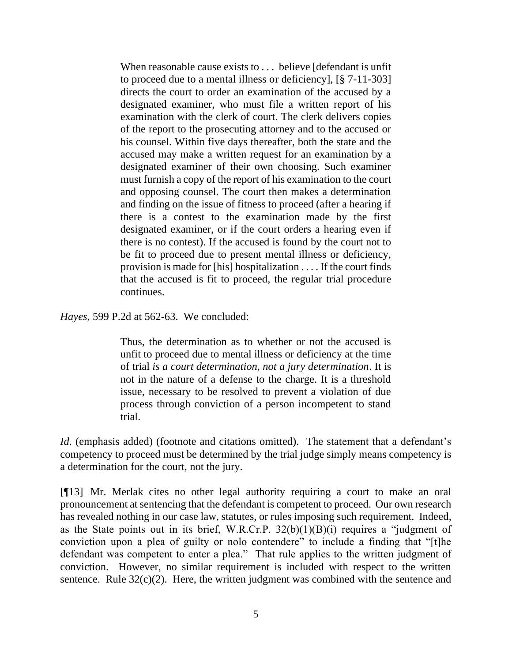When reasonable cause exists to . . . believe [defendant is unfit to proceed due to a mental illness or deficiency], [§ 7-11-303] directs the court to order an examination of the accused by a designated examiner, who must file a written report of his examination with the clerk of court. The clerk delivers copies of the report to the prosecuting attorney and to the accused or his counsel. Within five days thereafter, both the state and the accused may make a written request for an examination by a designated examiner of their own choosing. Such examiner must furnish a copy of the report of his examination to the court and opposing counsel. The court then makes a determination and finding on the issue of fitness to proceed (after a hearing if there is a contest to the examination made by the first designated examiner, or if the court orders a hearing even if there is no contest). If the accused is found by the court not to be fit to proceed due to present mental illness or deficiency, provision is made for [his] hospitalization . . . . If the court finds that the accused is fit to proceed, the regular trial procedure continues.

*Hayes*, 599 P.2d at 562-63. We concluded:

Thus, the determination as to whether or not the accused is unfit to proceed due to mental illness or deficiency at the time of trial *is a court determination, not a jury determination*. It is not in the nature of a defense to the charge. It is a threshold issue, necessary to be resolved to prevent a violation of due process through conviction of a person incompetent to stand trial.

*Id.* (emphasis added) (footnote and citations omitted). The statement that a defendant's competency to proceed must be determined by the trial judge simply means competency is a determination for the court, not the jury.

[¶13] Mr. Merlak cites no other legal authority requiring a court to make an oral pronouncement at sentencing that the defendant is competent to proceed. Our own research has revealed nothing in our case law, statutes, or rules imposing such requirement. Indeed, as the State points out in its brief, W.R.Cr.P.  $32(b)(1)(B)(i)$  requires a "judgment of conviction upon a plea of guilty or nolo contendere" to include a finding that "[t]he defendant was competent to enter a plea." That rule applies to the written judgment of conviction. However, no similar requirement is included with respect to the written sentence. Rule 32(c)(2). Here, the written judgment was combined with the sentence and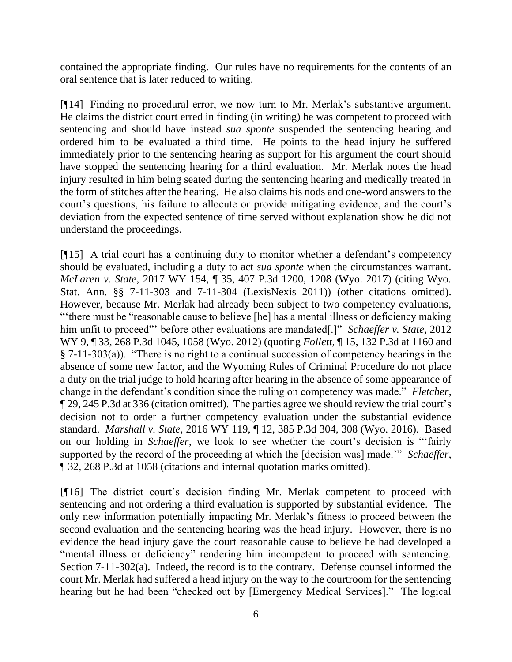contained the appropriate finding. Our rules have no requirements for the contents of an oral sentence that is later reduced to writing.

[¶14] Finding no procedural error, we now turn to Mr. Merlak's substantive argument. He claims the district court erred in finding (in writing) he was competent to proceed with sentencing and should have instead *sua sponte* suspended the sentencing hearing and ordered him to be evaluated a third time. He points to the head injury he suffered immediately prior to the sentencing hearing as support for his argument the court should have stopped the sentencing hearing for a third evaluation. Mr. Merlak notes the head injury resulted in him being seated during the sentencing hearing and medically treated in the form of stitches after the hearing. He also claims his nods and one-word answers to the court's questions, his failure to allocute or provide mitigating evidence, and the court's deviation from the expected sentence of time served without explanation show he did not understand the proceedings.

[¶15] A trial court has a continuing duty to monitor whether a defendant's competency should be evaluated, including a duty to act *sua sponte* when the circumstances warrant. *McLaren v. State*, 2017 WY 154, ¶ 35, 407 P.3d 1200, 1208 (Wyo. 2017) (citing Wyo. Stat. Ann. §§ 7-11-303 and 7-11-304 (LexisNexis 2011)) (other citations omitted). However, because Mr. Merlak had already been subject to two competency evaluations, "'there must be "reasonable cause to believe [he] has a mental illness or deficiency making him unfit to proceed"' before other evaluations are mandated[.]" *Schaeffer v. State*, 2012 WY 9, ¶ 33, 268 P.3d 1045, 1058 (Wyo. 2012) (quoting *Follett*, ¶ 15, 132 P.3d at 1160 and § 7-11-303(a)). "There is no right to a continual succession of competency hearings in the absence of some new factor, and the Wyoming Rules of Criminal Procedure do not place a duty on the trial judge to hold hearing after hearing in the absence of some appearance of change in the defendant's condition since the ruling on competency was made." *Fletcher*, ¶ 29, 245 P.3d at 336 (citation omitted). The parties agree we should review the trial court's decision not to order a further competency evaluation under the substantial evidence standard. *Marshall v. State*, 2016 WY 119, ¶ 12, 385 P.3d 304, 308 (Wyo. 2016). Based on our holding in *Schaeffer*, we look to see whether the court's decision is "'fairly supported by the record of the proceeding at which the [decision was] made.'" *Schaeffer*, ¶ 32, 268 P.3d at 1058 (citations and internal quotation marks omitted).

[¶16] The district court's decision finding Mr. Merlak competent to proceed with sentencing and not ordering a third evaluation is supported by substantial evidence. The only new information potentially impacting Mr. Merlak's fitness to proceed between the second evaluation and the sentencing hearing was the head injury. However, there is no evidence the head injury gave the court reasonable cause to believe he had developed a "mental illness or deficiency" rendering him incompetent to proceed with sentencing. Section 7-11-302(a). Indeed, the record is to the contrary. Defense counsel informed the court Mr. Merlak had suffered a head injury on the way to the courtroom for the sentencing hearing but he had been "checked out by [Emergency Medical Services]." The logical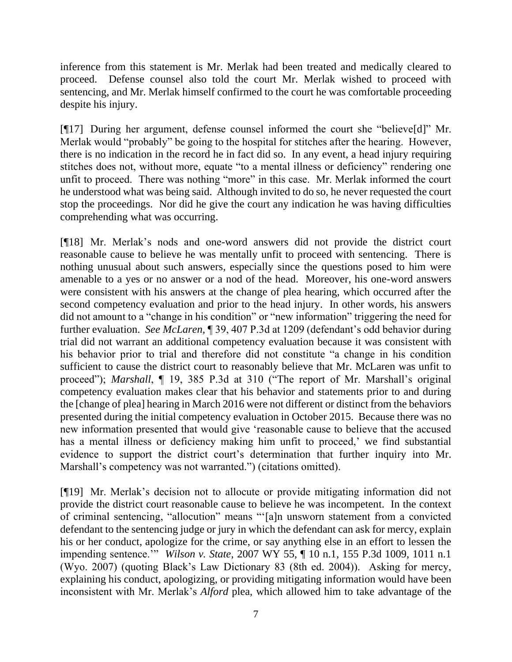inference from this statement is Mr. Merlak had been treated and medically cleared to proceed. Defense counsel also told the court Mr. Merlak wished to proceed with sentencing, and Mr. Merlak himself confirmed to the court he was comfortable proceeding despite his injury.

[¶17] During her argument, defense counsel informed the court she "believe[d]" Mr. Merlak would "probably" be going to the hospital for stitches after the hearing. However, there is no indication in the record he in fact did so. In any event, a head injury requiring stitches does not, without more, equate "to a mental illness or deficiency" rendering one unfit to proceed. There was nothing "more" in this case. Mr. Merlak informed the court he understood what was being said. Although invited to do so, he never requested the court stop the proceedings. Nor did he give the court any indication he was having difficulties comprehending what was occurring.

[¶18] Mr. Merlak's nods and one-word answers did not provide the district court reasonable cause to believe he was mentally unfit to proceed with sentencing. There is nothing unusual about such answers, especially since the questions posed to him were amenable to a yes or no answer or a nod of the head. Moreover, his one-word answers were consistent with his answers at the change of plea hearing, which occurred after the second competency evaluation and prior to the head injury. In other words, his answers did not amount to a "change in his condition" or "new information" triggering the need for further evaluation. *See McLaren,* ¶ 39, 407 P.3d at 1209 (defendant's odd behavior during trial did not warrant an additional competency evaluation because it was consistent with his behavior prior to trial and therefore did not constitute "a change in his condition sufficient to cause the district court to reasonably believe that Mr. McLaren was unfit to proceed"); *Marshall*, ¶ 19, 385 P.3d at 310 ("The report of Mr. Marshall's original competency evaluation makes clear that his behavior and statements prior to and during the [change of plea] hearing in March 2016 were not different or distinct from the behaviors presented during the initial competency evaluation in October 2015. Because there was no new information presented that would give 'reasonable cause to believe that the accused has a mental illness or deficiency making him unfit to proceed,' we find substantial evidence to support the district court's determination that further inquiry into Mr. Marshall's competency was not warranted.") (citations omitted).

[¶19] Mr. Merlak's decision not to allocute or provide mitigating information did not provide the district court reasonable cause to believe he was incompetent. In the context of criminal sentencing, "allocution" means "'[a]n unsworn statement from a convicted defendant to the sentencing judge or jury in which the defendant can ask for mercy, explain his or her conduct, apologize for the crime, or say anything else in an effort to lessen the impending sentence.'" *Wilson v. State*, 2007 WY 55, ¶ 10 n.1, 155 P.3d 1009, 1011 n.1 (Wyo. 2007) (quoting Black's Law Dictionary 83 (8th ed. 2004)). Asking for mercy, explaining his conduct, apologizing, or providing mitigating information would have been inconsistent with Mr. Merlak's *Alford* plea, which allowed him to take advantage of the